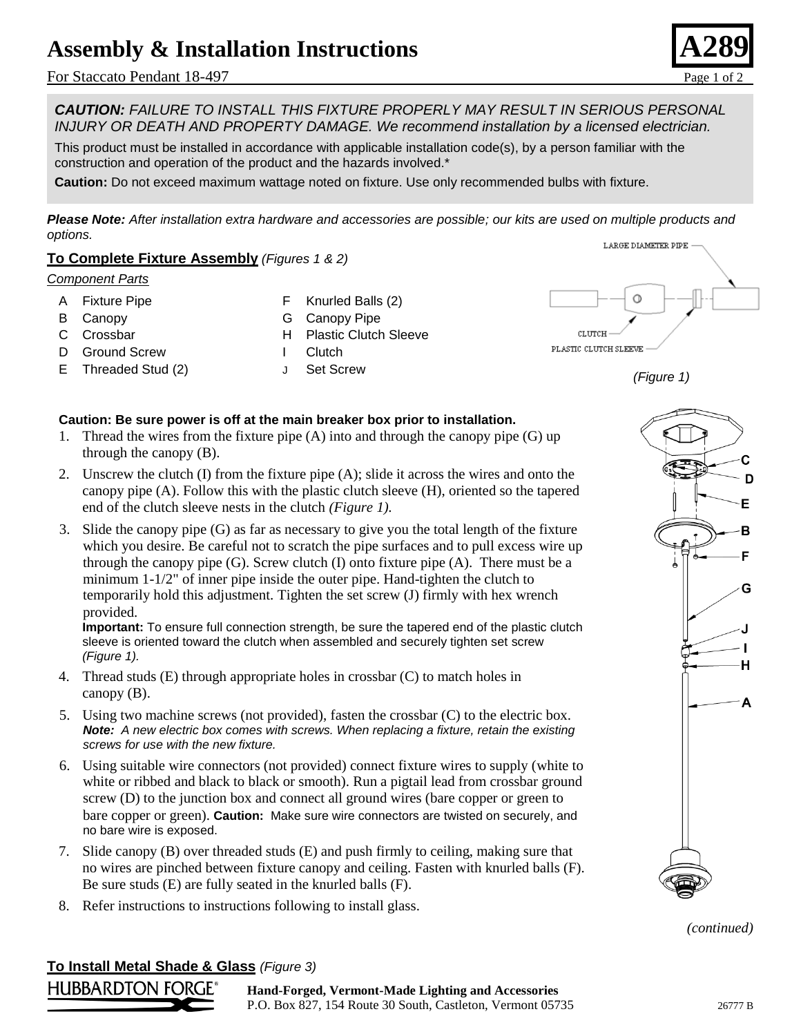## **Assembly & Installation Instructions**

For Staccato Pendant 18-497 Page 1 of 2



*CAUTION: FAILURE TO INSTALL THIS FIXTURE PROPERLY MAY RESULT IN SERIOUS PERSONAL INJURY OR DEATH AND PROPERTY DAMAGE. We recommend installation by a licensed electrician.*

This product must be installed in accordance with applicable installation code(s), by a person familiar with the construction and operation of the product and the hazards involved.\*

**Caution:** Do not exceed maximum wattage noted on fixture. Use only recommended bulbs with fixture.

*Please Note: After installation extra hardware and accessories are possible; our kits are used on multiple products and options.*

#### **To Complete Fixture Assembly** *(Figures 1 & 2)*

#### *Component Parts*

A Fixture Pipe

F Knurled Balls (2)

B Canopy C Crossbar

- G Canopy Pipe
	- H Plastic Clutch Sleeve
- D Ground Screw
- E Threaded Stud (2)
- I Clutch
- J Set Screw





#### **Caution: Be sure power is off at the main breaker box prior to installation.**

- 1. Thread the wires from the fixture pipe (A) into and through the canopy pipe (G) up through the canopy (B).
- 2. Unscrew the clutch (I) from the fixture pipe (A); slide it across the wires and onto the canopy pipe (A). Follow this with the plastic clutch sleeve (H), oriented so the tapered end of the clutch sleeve nests in the clutch *(Figure 1).*
- 3. Slide the canopy pipe (G) as far as necessary to give you the total length of the fixture which you desire. Be careful not to scratch the pipe surfaces and to pull excess wire up through the canopy pipe  $(G)$ . Screw clutch  $(I)$  onto fixture pipe  $(A)$ . There must be a minimum 1-1/2" of inner pipe inside the outer pipe. Hand-tighten the clutch to temporarily hold this adjustment. Tighten the set screw (J) firmly with hex wrench provided.

**Important:** To ensure full connection strength, be sure the tapered end of the plastic clutch sleeve is oriented toward the clutch when assembled and securely tighten set screw *(Figure 1).*

- 4. Thread studs (E) through appropriate holes in crossbar (C) to match holes in canopy (B).
- 5. Using two machine screws (not provided), fasten the crossbar (C) to the electric box. *Note: A new electric box comes with screws. When replacing a fixture, retain the existing screws for use with the new fixture.*
- 6. Using suitable wire connectors (not provided) connect fixture wires to supply (white to white or ribbed and black to black or smooth). Run a pigtail lead from crossbar ground screw (D) to the junction box and connect all ground wires (bare copper or green to bare copper or green). **Caution:** Make sure wire connectors are twisted on securely, and no bare wire is exposed.
- 7. Slide canopy (B) over threaded studs (E) and push firmly to ceiling, making sure that no wires are pinched between fixture canopy and ceiling. Fasten with knurled balls (F). Be sure studs (E) are fully seated in the knurled balls (F).
- 8. Refer instructions to instructions following to install glass.

# D E в F G ı н Δ *(Figure 2)*

*(continued)*

**To Install Metal Shade & Glass** *(Figure 3)*